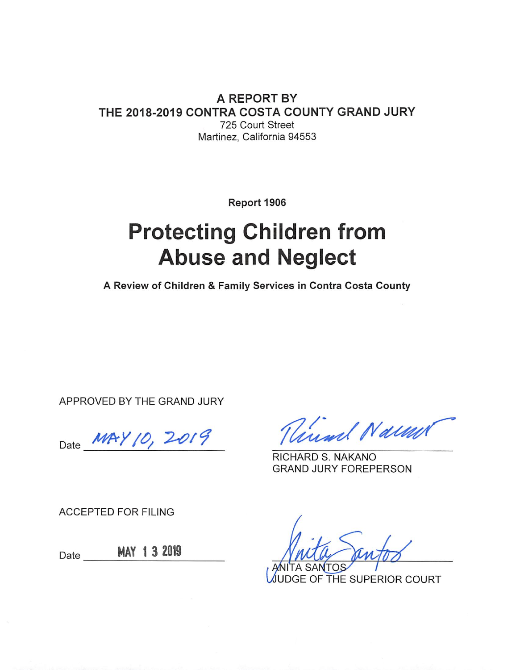**A REPORT BY** THE 2018-2019 CONTRA COSTA COUNTY GRAND JURY 725 Court Street Martinez, California 94553

Report 1906

# **Protecting Children from Abuse and Neglect**

A Review of Children & Family Services in Contra Costa County

APPROVED BY THE GRAND JURY

Date MAY 10, 2019

Virsal Naum

RICHARD S. NAKANO **GRAND JURY FOREPERSON** 

**ACCEPTED FOR FILING** 

MAY 1 3 2019 Date

JUDGE OF THE SUPERIOR COURT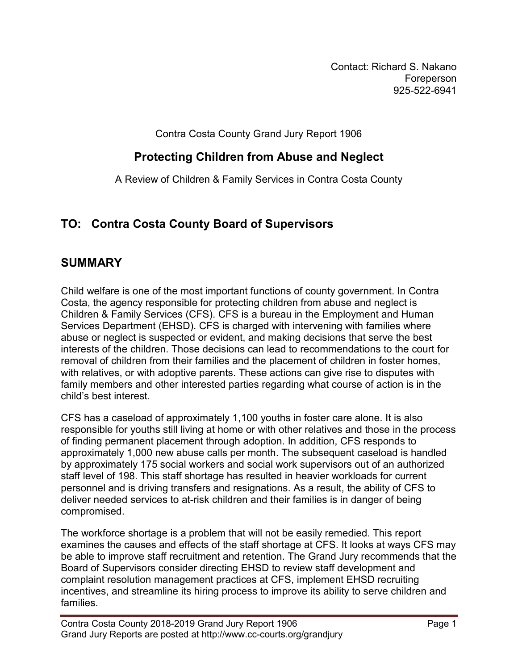Contact: Richard S. Nakano Foreperson 925-522-6941

Contra Costa County Grand Jury Report 1906

## **Protecting Children from Abuse and Neglect**

A Review of Children & Family Services in Contra Costa County

# **TO: Contra Costa County Board of Supervisors**

## **SUMMARY**

Child welfare is one of the most important functions of county government. In Contra Costa, the agency responsible for protecting children from abuse and neglect is Children & Family Services (CFS). CFS is a bureau in the Employment and Human Services Department (EHSD). CFS is charged with intervening with families where abuse or neglect is suspected or evident, and making decisions that serve the best interests of the children. Those decisions can lead to recommendations to the court for removal of children from their families and the placement of children in foster homes, with relatives, or with adoptive parents. These actions can give rise to disputes with family members and other interested parties regarding what course of action is in the child's best interest.

CFS has a caseload of approximately 1,100 youths in foster care alone. It is also responsible for youths still living at home or with other relatives and those in the process of finding permanent placement through adoption. In addition, CFS responds to approximately 1,000 new abuse calls per month. The subsequent caseload is handled by approximately 175 social workers and social work supervisors out of an authorized staff level of 198. This staff shortage has resulted in heavier workloads for current personnel and is driving transfers and resignations. As a result, the ability of CFS to deliver needed services to at-risk children and their families is in danger of being compromised.

The workforce shortage is a problem that will not be easily remedied. This report examines the causes and effects of the staff shortage at CFS. It looks at ways CFS may be able to improve staff recruitment and retention. The Grand Jury recommends that the Board of Supervisors consider directing EHSD to review staff development and complaint resolution management practices at CFS, implement EHSD recruiting incentives, and streamline its hiring process to improve its ability to serve children and families.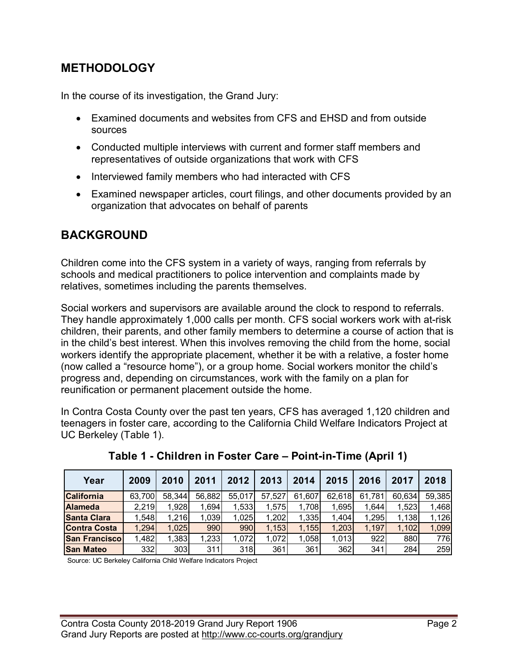## **METHODOLOGY**

In the course of its investigation, the Grand Jury:

- Examined documents and websites from CFS and EHSD and from outside sources
- Conducted multiple interviews with current and former staff members and representatives of outside organizations that work with CFS
- Interviewed family members who had interacted with CFS
- Examined newspaper articles, court filings, and other documents provided by an organization that advocates on behalf of parents

## **BACKGROUND**

Children come into the CFS system in a variety of ways, ranging from referrals by schools and medical practitioners to police intervention and complaints made by relatives, sometimes including the parents themselves.

Social workers and supervisors are available around the clock to respond to referrals. They handle approximately 1,000 calls per month. CFS social workers work with at-risk children, their parents, and other family members to determine a course of action that is in the child's best interest. When this involves removing the child from the home, social workers identify the appropriate placement, whether it be with a relative, a foster home (now called a "resource home"), or a group home. Social workers monitor the child's progress and, depending on circumstances, work with the family on a plan for reunification or permanent placement outside the home.

In Contra Costa County over the past ten years, CFS has averaged 1,120 children and teenagers in foster care, according to the California Child Welfare Indicators Project at UC Berkeley (Table 1).

| Year                | 2009   | 2010   | 2011   | 2012   | 2013   | 2014   | 2015   | 2016   | 2017   | 2018   |
|---------------------|--------|--------|--------|--------|--------|--------|--------|--------|--------|--------|
| <b>California</b>   | 63.700 | 58.344 | 56,882 | 55.017 | 57,527 | 61.607 | 62.618 | 61.781 | 60.634 | 59,385 |
| <b>Alameda</b>      | 2.219  | ,928   | 1,694  | 1,533  | 1.575  | 1,708  | 1,695  | 1.644  | 1,523  | 1,468  |
| <b>Santa Clara</b>  | 1,548  | 1.216  | 1.039  | 1.025  | 1,202  | 1,335  | 1.404  | 1,295  | 1.138l | 1,126  |
| <b>Contra Costa</b> | 1,294  | 1,025  | 990    | 990    | 1,153  | 1,155  | 1,203  | 1,197  | 1.102  | 1,099  |
| San Francisco       | 1,482  | .383   | 1,233  | 1,072  | 1.072  | 1.058  | 1,013  | 922    | 880    | 776I   |
| <b>San Mateo</b>    | 332    | 303    | 311    | 318    | 361    | 361    | 362    | 341    | 284    | 259    |

**Table 1 - Children in Foster Care – Point-in-Time (April 1)**

Source: UC Berkeley California Child Welfare Indicators Project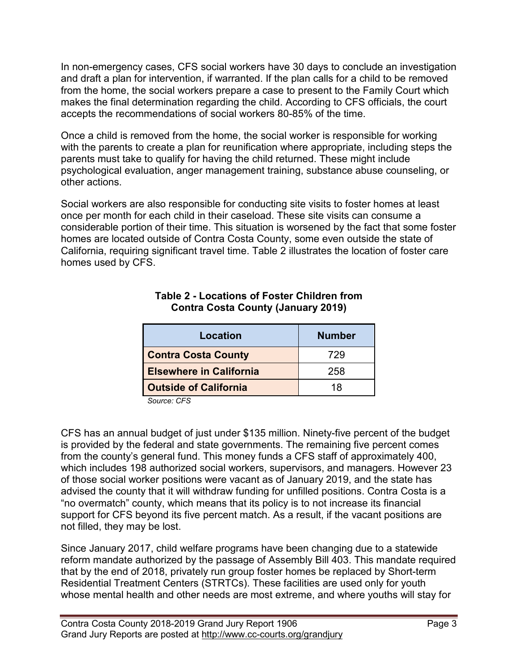In non-emergency cases, CFS social workers have 30 days to conclude an investigation and draft a plan for intervention, if warranted. If the plan calls for a child to be removed from the home, the social workers prepare a case to present to the Family Court which makes the final determination regarding the child. According to CFS officials, the court accepts the recommendations of social workers 80-85% of the time.

Once a child is removed from the home, the social worker is responsible for working with the parents to create a plan for reunification where appropriate, including steps the parents must take to qualify for having the child returned. These might include psychological evaluation, anger management training, substance abuse counseling, or other actions.

Social workers are also responsible for conducting site visits to foster homes at least once per month for each child in their caseload. These site visits can consume a considerable portion of their time. This situation is worsened by the fact that some foster homes are located outside of Contra Costa County, some even outside the state of California, requiring significant travel time. Table 2 illustrates the location of foster care homes used by CFS.

| <b>Location</b>                | <b>Number</b> |
|--------------------------------|---------------|
| <b>Contra Costa County</b>     | 729           |
| <b>Elsewhere in California</b> | 258           |
| <b>Outside of California</b>   | 18            |

#### **Table 2 - Locations of Foster Children from Contra Costa County (January 2019)**

 *Source: CFS*

CFS has an annual budget of just under \$135 million. Ninety-five percent of the budget is provided by the federal and state governments. The remaining five percent comes from the county's general fund. This money funds a CFS staff of approximately 400, which includes 198 authorized social workers, supervisors, and managers. However 23 of those social worker positions were vacant as of January 2019, and the state has advised the county that it will withdraw funding for unfilled positions. Contra Costa is a "no overmatch" county, which means that its policy is to not increase its financial support for CFS beyond its five percent match. As a result, if the vacant positions are not filled, they may be lost.

Since January 2017, child welfare programs have been changing due to a statewide reform mandate authorized by the passage of Assembly Bill 403. This mandate required that by the end of 2018, privately run group foster homes be replaced by Short-term Residential Treatment Centers (STRTCs). These facilities are used only for youth whose mental health and other needs are most extreme, and where youths will stay for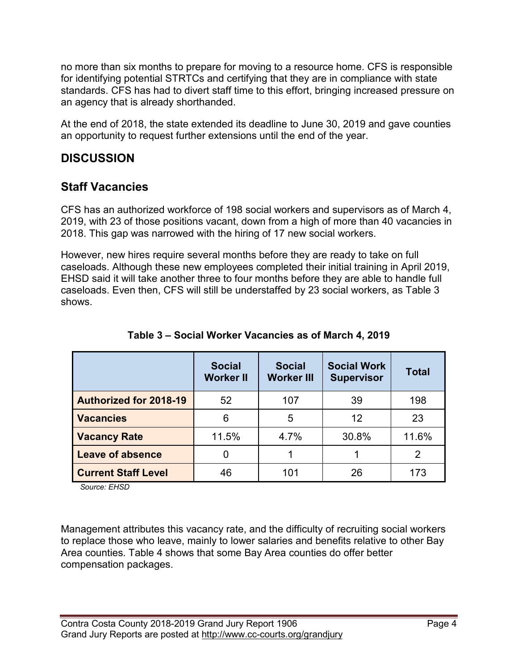no more than six months to prepare for moving to a resource home. CFS is responsible for identifying potential STRTCs and certifying that they are in compliance with state standards. CFS has had to divert staff time to this effort, bringing increased pressure on an agency that is already shorthanded.

At the end of 2018, the state extended its deadline to June 30, 2019 and gave counties an opportunity to request further extensions until the end of the year.

## **DISCUSSION**

## **Staff Vacancies**

CFS has an authorized workforce of 198 social workers and supervisors as of March 4, 2019, with 23 of those positions vacant, down from a high of more than 40 vacancies in 2018. This gap was narrowed with the hiring of 17 new social workers.

However, new hires require several months before they are ready to take on full caseloads. Although these new employees completed their initial training in April 2019, EHSD said it will take another three to four months before they are able to handle full caseloads. Even then, CFS will still be understaffed by 23 social workers, as Table 3 shows.

|                               | <b>Social</b><br><b>Worker II</b> | <b>Social</b><br><b>Worker III</b> | <b>Social Work</b><br><b>Supervisor</b> | <b>Total</b> |
|-------------------------------|-----------------------------------|------------------------------------|-----------------------------------------|--------------|
| <b>Authorized for 2018-19</b> | 52                                | 107                                | 39                                      | 198          |
| <b>Vacancies</b>              | 6                                 | 5                                  | 12                                      | 23           |
| <b>Vacancy Rate</b>           | 11.5%                             | 4.7%                               | 30.8%                                   | 11.6%        |
| <b>Leave of absence</b>       | 0                                 |                                    |                                         | 2            |
| <b>Current Staff Level</b>    | 46                                | 101                                | 26                                      | 173          |

## **Table 3 – Social Worker Vacancies as of March 4, 2019**

 *Source: EHSD*

Management attributes this vacancy rate, and the difficulty of recruiting social workers to replace those who leave, mainly to lower salaries and benefits relative to other Bay Area counties. Table 4 shows that some Bay Area counties do offer better compensation packages.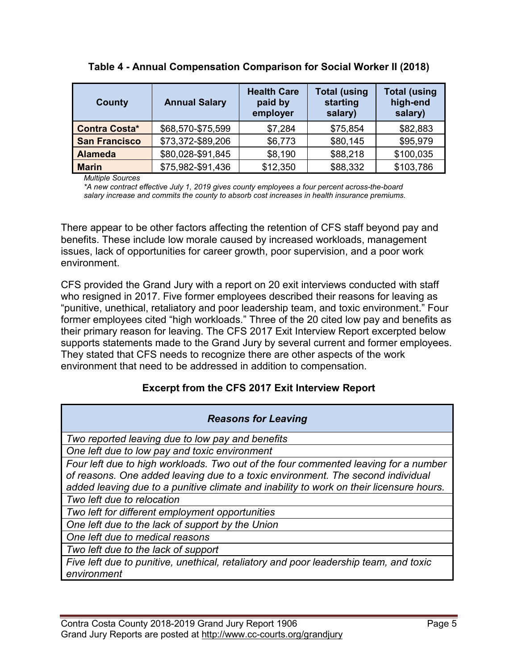| County               | <b>Annual Salary</b> | <b>Health Care</b><br>paid by<br>employer | <b>Total (using</b><br>starting<br>salary) | <b>Total (using</b><br>high-end<br>salary) |
|----------------------|----------------------|-------------------------------------------|--------------------------------------------|--------------------------------------------|
| <b>Contra Costa*</b> | \$68,570-\$75,599    | \$7,284                                   | \$75,854                                   | \$82,883                                   |
| <b>San Francisco</b> | \$73,372-\$89,206    | \$6,773                                   | \$80,145                                   | \$95,979                                   |
| <b>Alameda</b>       | \$80,028-\$91,845    | \$8,190                                   | \$88,218                                   | \$100,035                                  |
| <b>Marin</b>         | \$75,982-\$91,436    | \$12,350                                  | \$88,332                                   | \$103,786                                  |

#### **Table 4 - Annual Compensation Comparison for Social Worker II (2018)**

*Multiple Sources*

*\*A new contract effective July 1, 2019 gives county employees a four percent across-the-board salary increase and commits the county to absorb cost increases in health insurance premiums.*

There appear to be other factors affecting the retention of CFS staff beyond pay and benefits. These include low morale caused by increased workloads, management issues, lack of opportunities for career growth, poor supervision, and a poor work environment.

CFS provided the Grand Jury with a report on 20 exit interviews conducted with staff who resigned in 2017. Five former employees described their reasons for leaving as "punitive, unethical, retaliatory and poor leadership team, and toxic environment." Four former employees cited "high workloads." Three of the 20 cited low pay and benefits as their primary reason for leaving. The CFS 2017 Exit Interview Report excerpted below supports statements made to the Grand Jury by several current and former employees. They stated that CFS needs to recognize there are other aspects of the work environment that need to be addressed in addition to compensation.

#### **Excerpt from the CFS 2017 Exit Interview Report**

| <b>Reasons for Leaving</b>                                                              |
|-----------------------------------------------------------------------------------------|
| Two reported leaving due to low pay and benefits                                        |
| One left due to low pay and toxic environment                                           |
| Four left due to high workloads. Two out of the four commented leaving for a number     |
| of reasons. One added leaving due to a toxic environment. The second individual         |
| added leaving due to a punitive climate and inability to work on their licensure hours. |
| Two left due to relocation                                                              |
| Two left for different employment opportunities                                         |
| One left due to the lack of support by the Union                                        |
| One left due to medical reasons                                                         |
| Two left due to the lack of support                                                     |
| Five left due to punitive, unethical, retaliatory and poor leadership team, and toxic   |
| environment                                                                             |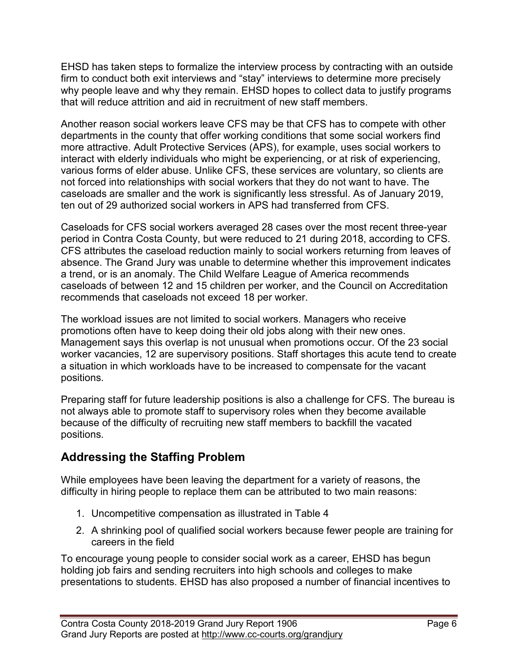EHSD has taken steps to formalize the interview process by contracting with an outside firm to conduct both exit interviews and "stay" interviews to determine more precisely why people leave and why they remain. EHSD hopes to collect data to justify programs that will reduce attrition and aid in recruitment of new staff members.

Another reason social workers leave CFS may be that CFS has to compete with other departments in the county that offer working conditions that some social workers find more attractive. Adult Protective Services (APS), for example, uses social workers to interact with elderly individuals who might be experiencing, or at risk of experiencing, various forms of elder abuse. Unlike CFS, these services are voluntary, so clients are not forced into relationships with social workers that they do not want to have. The caseloads are smaller and the work is significantly less stressful. As of January 2019, ten out of 29 authorized social workers in APS had transferred from CFS.

Caseloads for CFS social workers averaged 28 cases over the most recent three-year period in Contra Costa County, but were reduced to 21 during 2018, according to CFS. CFS attributes the caseload reduction mainly to social workers returning from leaves of absence. The Grand Jury was unable to determine whether this improvement indicates a trend, or is an anomaly. The Child Welfare League of America recommends caseloads of between 12 and 15 children per worker, and the Council on Accreditation recommends that caseloads not exceed 18 per worker.

The workload issues are not limited to social workers. Managers who receive promotions often have to keep doing their old jobs along with their new ones. Management says this overlap is not unusual when promotions occur. Of the 23 social worker vacancies, 12 are supervisory positions. Staff shortages this acute tend to create a situation in which workloads have to be increased to compensate for the vacant positions.

Preparing staff for future leadership positions is also a challenge for CFS. The bureau is not always able to promote staff to supervisory roles when they become available because of the difficulty of recruiting new staff members to backfill the vacated positions.

# **Addressing the Staffing Problem**

While employees have been leaving the department for a variety of reasons, the difficulty in hiring people to replace them can be attributed to two main reasons:

- 1. Uncompetitive compensation as illustrated in Table 4
- 2. A shrinking pool of qualified social workers because fewer people are training for careers in the field

To encourage young people to consider social work as a career, EHSD has begun holding job fairs and sending recruiters into high schools and colleges to make presentations to students. EHSD has also proposed a number of financial incentives to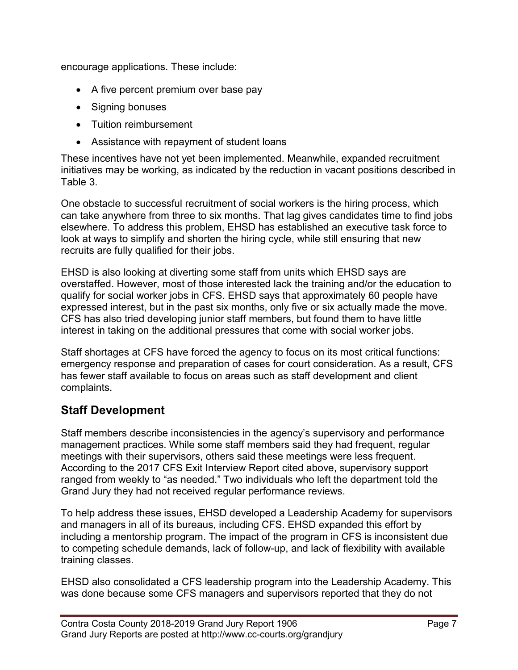encourage applications. These include:

- A five percent premium over base pay
- Signing bonuses
- Tuition reimbursement
- Assistance with repayment of student loans

These incentives have not yet been implemented. Meanwhile, expanded recruitment initiatives may be working, as indicated by the reduction in vacant positions described in Table 3.

One obstacle to successful recruitment of social workers is the hiring process, which can take anywhere from three to six months. That lag gives candidates time to find jobs elsewhere. To address this problem, EHSD has established an executive task force to look at ways to simplify and shorten the hiring cycle, while still ensuring that new recruits are fully qualified for their jobs.

EHSD is also looking at diverting some staff from units which EHSD says are overstaffed. However, most of those interested lack the training and/or the education to qualify for social worker jobs in CFS. EHSD says that approximately 60 people have expressed interest, but in the past six months, only five or six actually made the move. CFS has also tried developing junior staff members, but found them to have little interest in taking on the additional pressures that come with social worker jobs.

Staff shortages at CFS have forced the agency to focus on its most critical functions: emergency response and preparation of cases for court consideration. As a result, CFS has fewer staff available to focus on areas such as staff development and client complaints.

## **Staff Development**

Staff members describe inconsistencies in the agency's supervisory and performance management practices. While some staff members said they had frequent, regular meetings with their supervisors, others said these meetings were less frequent. According to the 2017 CFS Exit Interview Report cited above, supervisory support ranged from weekly to "as needed." Two individuals who left the department told the Grand Jury they had not received regular performance reviews.

To help address these issues, EHSD developed a Leadership Academy for supervisors and managers in all of its bureaus, including CFS. EHSD expanded this effort by including a mentorship program. The impact of the program in CFS is inconsistent due to competing schedule demands, lack of follow-up, and lack of flexibility with available training classes.

EHSD also consolidated a CFS leadership program into the Leadership Academy. This was done because some CFS managers and supervisors reported that they do not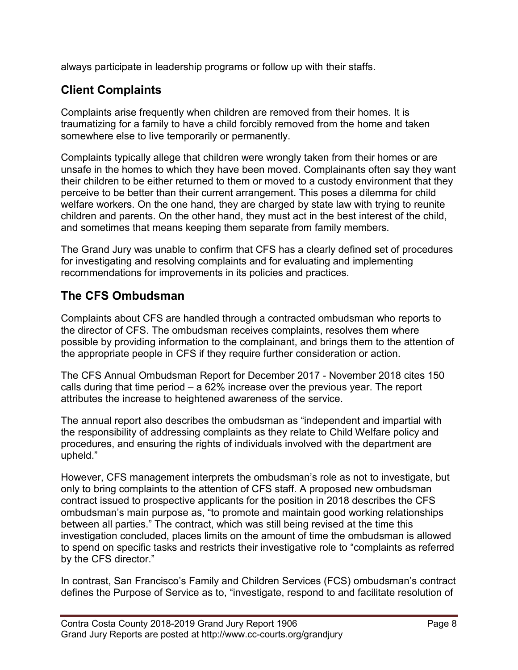always participate in leadership programs or follow up with their staffs.

## **Client Complaints**

Complaints arise frequently when children are removed from their homes. It is traumatizing for a family to have a child forcibly removed from the home and taken somewhere else to live temporarily or permanently.

Complaints typically allege that children were wrongly taken from their homes or are unsafe in the homes to which they have been moved. Complainants often say they want their children to be either returned to them or moved to a custody environment that they perceive to be better than their current arrangement. This poses a dilemma for child welfare workers. On the one hand, they are charged by state law with trying to reunite children and parents. On the other hand, they must act in the best interest of the child, and sometimes that means keeping them separate from family members.

The Grand Jury was unable to confirm that CFS has a clearly defined set of procedures for investigating and resolving complaints and for evaluating and implementing recommendations for improvements in its policies and practices.

## **The CFS Ombudsman**

Complaints about CFS are handled through a contracted ombudsman who reports to the director of CFS. The ombudsman receives complaints, resolves them where possible by providing information to the complainant, and brings them to the attention of the appropriate people in CFS if they require further consideration or action.

The CFS Annual Ombudsman Report for December 2017 - November 2018 cites 150 calls during that time period – a 62% increase over the previous year. The report attributes the increase to heightened awareness of the service.

The annual report also describes the ombudsman as "independent and impartial with the responsibility of addressing complaints as they relate to Child Welfare policy and procedures, and ensuring the rights of individuals involved with the department are upheld."

However, CFS management interprets the ombudsman's role as not to investigate, but only to bring complaints to the attention of CFS staff. A proposed new ombudsman contract issued to prospective applicants for the position in 2018 describes the CFS ombudsman's main purpose as, "to promote and maintain good working relationships between all parties." The contract, which was still being revised at the time this investigation concluded, places limits on the amount of time the ombudsman is allowed to spend on specific tasks and restricts their investigative role to "complaints as referred by the CFS director."

In contrast, San Francisco's Family and Children Services (FCS) ombudsman's contract defines the Purpose of Service as to, "investigate, respond to and facilitate resolution of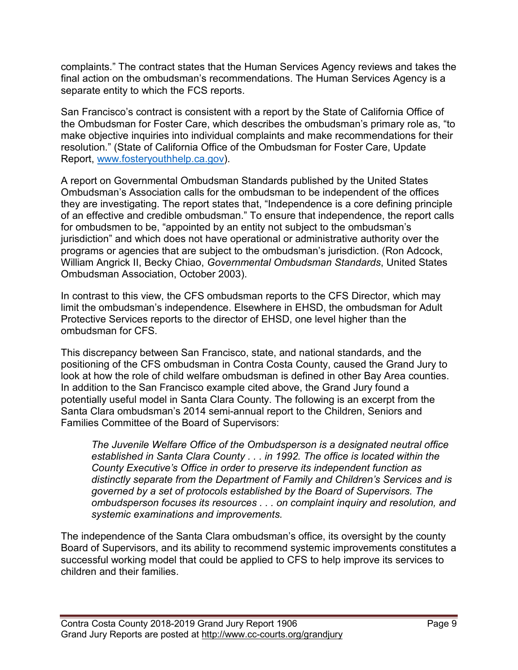complaints." The contract states that the Human Services Agency reviews and takes the final action on the ombudsman's recommendations. The Human Services Agency is a separate entity to which the FCS reports.

San Francisco's contract is consistent with a report by the State of California Office of the Ombudsman for Foster Care, which describes the ombudsman's primary role as, "to make objective inquiries into individual complaints and make recommendations for their resolution." (State of California Office of the Ombudsman for Foster Care, Update Report, [www.fosteryouthhelp.ca.gov\)](http://www.fosteryouthhelp.ca.gov/).

A report on Governmental Ombudsman Standards published by the United States Ombudsman's Association calls for the ombudsman to be independent of the offices they are investigating. The report states that, "Independence is a core defining principle of an effective and credible ombudsman." To ensure that independence, the report calls for ombudsmen to be, "appointed by an entity not subject to the ombudsman's jurisdiction" and which does not have operational or administrative authority over the programs or agencies that are subject to the ombudsman's jurisdiction. (Ron Adcock, William Angrick II, Becky Chiao, *Governmental Ombudsman Standards*, United States Ombudsman Association, October 2003).

In contrast to this view, the CFS ombudsman reports to the CFS Director, which may limit the ombudsman's independence. Elsewhere in EHSD, the ombudsman for Adult Protective Services reports to the director of EHSD, one level higher than the ombudsman for CFS.

This discrepancy between San Francisco, state, and national standards, and the positioning of the CFS ombudsman in Contra Costa County, caused the Grand Jury to look at how the role of child welfare ombudsman is defined in other Bay Area counties. In addition to the San Francisco example cited above, the Grand Jury found a potentially useful model in Santa Clara County. The following is an excerpt from the Santa Clara ombudsman's 2014 semi-annual report to the Children, Seniors and Families Committee of the Board of Supervisors:

*The Juvenile Welfare Office of the Ombudsperson is a designated neutral office established in Santa Clara County . . . in 1992. The office is located within the County Executive's Office in order to preserve its independent function as distinctly separate from the Department of Family and Children's Services and is governed by a set of protocols established by the Board of Supervisors. The ombudsperson focuses its resources . . . on complaint inquiry and resolution, and systemic examinations and improvements.*

The independence of the Santa Clara ombudsman's office, its oversight by the county Board of Supervisors, and its ability to recommend systemic improvements constitutes a successful working model that could be applied to CFS to help improve its services to children and their families.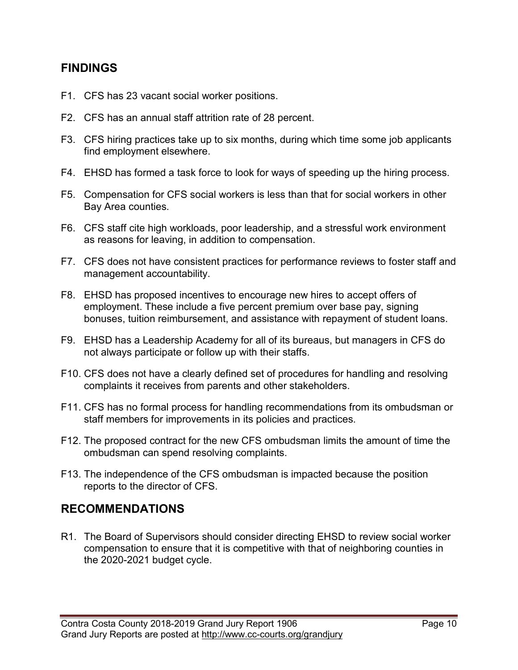## **FINDINGS**

- F1. CFS has 23 vacant social worker positions.
- F2. CFS has an annual staff attrition rate of 28 percent.
- F3. CFS hiring practices take up to six months, during which time some job applicants find employment elsewhere.
- F4. EHSD has formed a task force to look for ways of speeding up the hiring process.
- F5. Compensation for CFS social workers is less than that for social workers in other Bay Area counties.
- F6. CFS staff cite high workloads, poor leadership, and a stressful work environment as reasons for leaving, in addition to compensation.
- F7. CFS does not have consistent practices for performance reviews to foster staff and management accountability.
- F8. EHSD has proposed incentives to encourage new hires to accept offers of employment. These include a five percent premium over base pay, signing bonuses, tuition reimbursement, and assistance with repayment of student loans.
- F9. EHSD has a Leadership Academy for all of its bureaus, but managers in CFS do not always participate or follow up with their staffs.
- F10. CFS does not have a clearly defined set of procedures for handling and resolving complaints it receives from parents and other stakeholders.
- F11. CFS has no formal process for handling recommendations from its ombudsman or staff members for improvements in its policies and practices.
- F12. The proposed contract for the new CFS ombudsman limits the amount of time the ombudsman can spend resolving complaints.
- F13. The independence of the CFS ombudsman is impacted because the position reports to the director of CFS.

## **RECOMMENDATIONS**

R1. The Board of Supervisors should consider directing EHSD to review social worker compensation to ensure that it is competitive with that of neighboring counties in the 2020-2021 budget cycle.